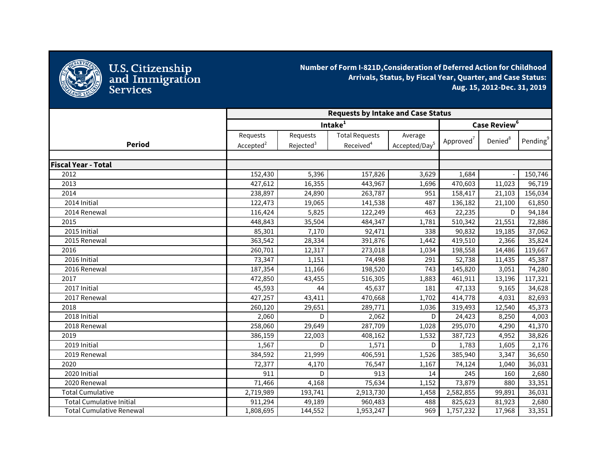

U.S. Citizenship<br>and Immigration<br>Services

**Number of Form I-821D,Consideration of Deferred Action for Childhood Arrivals, Status, by Fiscal Year, Quarter, and Case Status: Aug. 15, 2012-Dec. 31, 2019**

|                                 | <b>Requests by Intake and Case Status</b> |                       |                       |                           |                       |                          |                      |
|---------------------------------|-------------------------------------------|-----------------------|-----------------------|---------------------------|-----------------------|--------------------------|----------------------|
|                                 | Intake <sup>1</sup>                       |                       |                       |                           |                       | Case Review <sup>6</sup> |                      |
|                                 | Requests                                  | Requests              | <b>Total Requests</b> | Average                   |                       | Denied <sup>8</sup>      | Pending <sup>9</sup> |
| <b>Period</b>                   | Accepted <sup>2</sup>                     | Rejected <sup>3</sup> | Received <sup>4</sup> | Accepted/Day <sup>5</sup> | Approved <sup>7</sup> |                          |                      |
|                                 |                                           |                       |                       |                           |                       |                          |                      |
| <b>Fiscal Year - Total</b>      |                                           |                       |                       |                           |                       |                          |                      |
| 2012                            | 152,430                                   | 5,396                 | 157,826               | 3,629                     | 1,684                 |                          | 150,746              |
| 2013                            | 427,612                                   | 16,355                | 443,967               | 1,696                     | 470,603               | 11,023                   | 96,719               |
| 2014                            | 238,897                                   | 24,890                | 263,787               | 951                       | 158,417               | 21,103                   | 156,034              |
| 2014 Initial                    | 122,473                                   | 19,065                | 141,538               | 487                       | 136,182               | 21,100                   | 61,850               |
| 2014 Renewal                    | 116,424                                   | 5,825                 | 122,249               | 463                       | 22,235                | D.                       | 94,184               |
| 2015                            | 448,843                                   | 35,504                | 484,347               | 1,781                     | 510,342               | 21,551                   | 72,886               |
| 2015 Initial                    | 85,301                                    | 7,170                 | 92,471                | 338                       | 90,832                | 19,185                   | 37,062               |
| 2015 Renewal                    | 363,542                                   | 28,334                | 391,876               | 1,442                     | 419,510               | 2,366                    | 35,824               |
| 2016                            | 260,701                                   | 12,317                | 273,018               | 1,034                     | 198,558               | 14,486                   | 119,667              |
| 2016 Initial                    | 73,347                                    | 1,151                 | 74,498                | 291                       | 52,738                | 11,435                   | 45,387               |
| 2016 Renewal                    | 187,354                                   | 11,166                | 198,520               | 743                       | 145,820               | 3,051                    | 74,280               |
| 2017                            | 472,850                                   | 43,455                | 516,305               | 1,883                     | 461,911               | 13,196                   | 117,321              |
| 2017 Initial                    | 45,593                                    | 44                    | 45,637                | 181                       | 47,133                | 9,165                    | 34,628               |
| 2017 Renewal                    | 427,257                                   | 43,411                | 470,668               | 1,702                     | 414,778               | 4,031                    | 82,693               |
| 2018                            | 260,120                                   | 29,651                | 289,771               | 1,036                     | 319,493               | 12,540                   | 45,373               |
| 2018 Initial                    | 2,060                                     | D                     | 2,062                 | D                         | 24,423                | 8,250                    | 4,003                |
| 2018 Renewal                    | 258,060                                   | 29,649                | 287,709               | 1,028                     | 295,070               | 4,290                    | 41,370               |
| 2019                            | 386,159                                   | 22,003                | 408,162               | 1,532                     | 387,723               | 4,952                    | 38,826               |
| 2019 Initial                    | 1,567                                     | D                     | 1,571                 | D                         | 1,783                 | 1,605                    | 2,176                |
| 2019 Renewal                    | 384,592                                   | 21,999                | 406,591               | 1,526                     | 385,940               | 3,347                    | 36,650               |
| 2020                            | 72,377                                    | 4,170                 | 76,547                | 1,167                     | 74,124                | 1,040                    | 36,031               |
| 2020 Initial                    | 911                                       | D                     | 913                   | 14                        | 245                   | 160                      | 2,680                |
| 2020 Renewal                    | 71,466                                    | 4,168                 | 75,634                | 1,152                     | 73,879                | 880                      | 33,351               |
| <b>Total Cumulative</b>         | 2,719,989                                 | 193,741               | 2,913,730             | 1,458                     | 2,582,855             | 99,891                   | 36,031               |
| <b>Total Cumulative Initial</b> | 911,294                                   | 49,189                | 960,483               | 488                       | 825,623               | 81,923                   | 2,680                |
| <b>Total Cumulative Renewal</b> | 1,808,695                                 | 144,552               | 1,953,247             | 969                       | 1,757,232             | 17,968                   | 33,351               |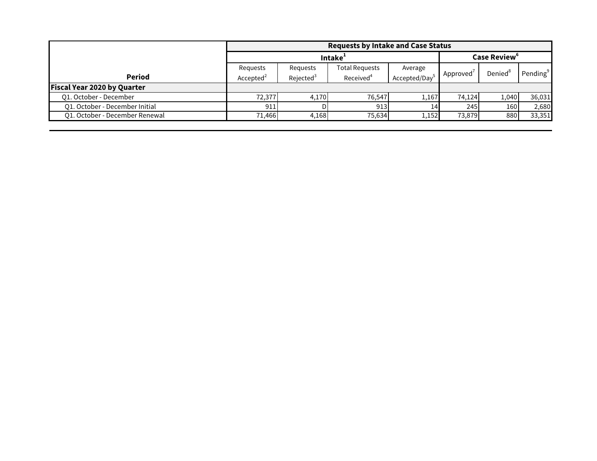|                                | <b>Requests by Intake and Case Status</b> |                       |                       |              |                          |                     |                      |  |
|--------------------------------|-------------------------------------------|-----------------------|-----------------------|--------------|--------------------------|---------------------|----------------------|--|
|                                | Intake <sup>1</sup>                       |                       |                       |              | Case Review <sup>6</sup> |                     |                      |  |
|                                | Requests                                  | Requests              | <b>Total Requests</b> | Average      |                          | Denied <sup>8</sup> | Pending <sup>9</sup> |  |
| Period                         | Accepted <sup>2</sup>                     | Rejected <sup>3</sup> | Received <sup>4</sup> | Accepted/Day | Approved                 |                     |                      |  |
| Fiscal Year 2020 by Quarter    |                                           |                       |                       |              |                          |                     |                      |  |
| Q1. October - December         | 72,377                                    | 4,170                 | 76.547                | 1,167        | 74.124                   | 1,040               | 36,031               |  |
| O1. October - December Initial | 911                                       |                       | 913                   | 14I          | 245                      | 160                 | 2,680                |  |
| 01. October - December Renewal | 71.466                                    | 4,168                 | 75,634                | 1,152        | 73,879                   | 880                 | 33,351               |  |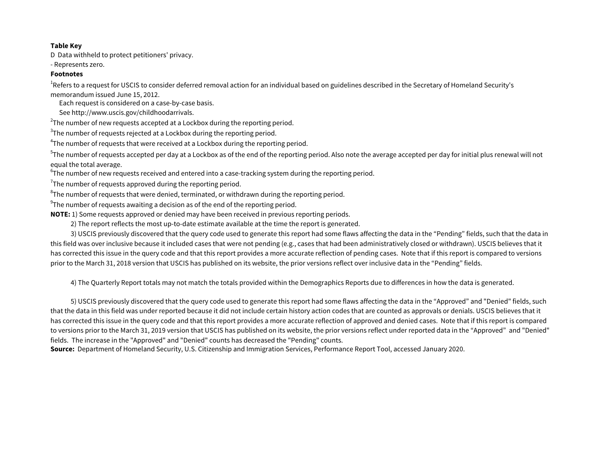#### **Table Key**

D Data withheld to protect petitioners' privacy.

- Represents zero.

### **Footnotes**

 $^{\rm 1}$ Refers to a request for USCIS to consider deferred removal action for an individual based on guidelines described in the Secretary of Homeland Security's memorandum issued June 15, 2012.

Each request is considered on a case-by-case basis.

See http://www.uscis.gov/childhoodarrivals.

 $^{2}$ The number of new requests accepted at a Lockbox during the reporting period.

 $^3$ The number of requests rejected at a Lockbox during the reporting period.

 $^4$ The number of requests that were received at a Lockbox during the reporting period.

 $^5$ The number of requests accepted per day at a Lockbox as of the end of the reporting period. Also note the average accepted per day for initial plus renewal will not equal the total average.

 $^6$ The number of new requests received and entered into a case-tracking system during the reporting period.

 $\mathrm{^{7}}$ The number of requests approved during the reporting period.

 ${}^{8}$ The number of requests that were denied, terminated, or withdrawn during the reporting period.

 $^9$ The number of requests awaiting a decision as of the end of the reporting period.

**NOTE:** 1) Some requests approved or denied may have been received in previous reporting periods.

2) The report reflects the most up-to-date estimate available at the time the report is generated.

 3) USCIS previously discovered that the query code used to generate this report had some flaws affecting the data in the "Pending" fields, such that the data in this field was over inclusive because it included cases that were not pending (e.g., cases that had been administratively closed or withdrawn). USCIS believes that it has corrected this issue in the query code and that this report provides a more accurate reflection of pending cases. Note that if this report is compared to versions prior to the March 31, 2018 version that USCIS has published on its website, the prior versions reflect over inclusive data in the "Pending" fields.

4) The Quarterly Report totals may not match the totals provided within the Demographics Reports due to differences in how the data is generated.

 5) USCIS previously discovered that the query code used to generate this report had some flaws affecting the data in the "Approved" and "Denied" fields, such that the data in this field was under reported because it did not include certain history action codes that are counted as approvals or denials. USCIS believes that it has corrected this issue in the query code and that this report provides a more accurate reflection of approved and denied cases. Note that if this report is compared to versions prior to the March 31, 2019 version that USCIS has published on its website, the prior versions reflect under reported data in the "Approved" and "Denied" fields. The increase in the "Approved" and "Denied" counts has decreased the "Pending" counts.

**Source:** Department of Homeland Security, U.S. Citizenship and Immigration Services, Performance Report Tool, accessed January 2020.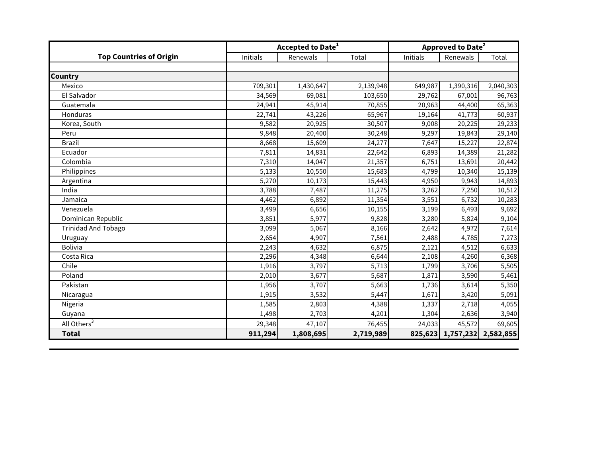|                                | <b>Accepted to Date<sup>1</sup></b> |           |           | <b>Approved to Date<sup>2</sup></b> |                             |           |  |
|--------------------------------|-------------------------------------|-----------|-----------|-------------------------------------|-----------------------------|-----------|--|
| <b>Top Countries of Origin</b> | Initials                            | Renewals  | Total     | Initials                            | Renewals                    | Total     |  |
|                                |                                     |           |           |                                     |                             |           |  |
| <b>Country</b>                 |                                     |           |           |                                     |                             |           |  |
| Mexico                         | 709,301                             | 1,430,647 | 2,139,948 | 649,987                             | 1,390,316                   | 2,040,303 |  |
| El Salvador                    | 34,569                              | 69,081    | 103,650   | 29,762                              | 67,001                      | 96,763    |  |
| Guatemala                      | 24,941                              | 45,914    | 70,855    | 20,963                              | 44,400                      | 65,363    |  |
| Honduras                       | 22,741                              | 43,226    | 65,967    | 19,164                              | 41,773                      | 60,937    |  |
| Korea, South                   | 9,582                               | 20,925    | 30,507    | 9,008                               | 20,225                      | 29,233    |  |
| Peru                           | 9,848                               | 20,400    | 30,248    | 9,297                               | 19,843                      | 29,140    |  |
| <b>Brazil</b>                  | 8,668                               | 15,609    | 24,277    | 7,647                               | 15,227                      | 22,874    |  |
| Ecuador                        | 7,811                               | 14,831    | 22,642    | 6,893                               | 14,389                      | 21,282    |  |
| Colombia                       | 7,310                               | 14,047    | 21,357    | 6,751                               | 13,691                      | 20,442    |  |
| Philippines                    | 5,133                               | 10,550    | 15,683    | 4,799                               | 10,340                      | 15,139    |  |
| Argentina                      | 5,270                               | 10,173    | 15,443    | 4,950                               | 9,943                       | 14,893    |  |
| India                          | 3,788                               | 7,487     | 11,275    | 3,262                               | 7,250                       | 10,512    |  |
| Jamaica                        | 4,462                               | 6,892     | 11,354    | 3,551                               | 6,732                       | 10,283    |  |
| Venezuela                      | 3,499                               | 6,656     | 10,155    | 3,199                               | 6,493                       | 9,692     |  |
| Dominican Republic             | 3,851                               | 5,977     | 9,828     | 3,280                               | 5,824                       | 9,104     |  |
| <b>Trinidad And Tobago</b>     | 3,099                               | 5,067     | 8,166     | 2,642                               | 4,972                       | 7,614     |  |
| Uruguay                        | 2,654                               | 4,907     | 7,561     | 2,488                               | 4,785                       | 7,273     |  |
| <b>Bolivia</b>                 | 2,243                               | 4,632     | 6,875     | 2,121                               | 4,512                       | 6,633     |  |
| Costa Rica                     | 2,296                               | 4,348     | 6,644     | 2,108                               | 4,260                       | 6,368     |  |
| Chile                          | 1,916                               | 3,797     | 5,713     | 1,799                               | 3,706                       | 5,505     |  |
| Poland                         | 2,010                               | 3,677     | 5,687     | 1,871                               | 3,590                       | 5,461     |  |
| Pakistan                       | 1,956                               | 3,707     | 5,663     | 1,736                               | 3,614                       | 5,350     |  |
| Nicaragua                      | 1,915                               | 3,532     | 5,447     | 1,671                               | 3,420                       | 5,091     |  |
| Nigeria                        | 1,585                               | 2,803     | 4,388     | 1,337                               | 2,718                       | 4,055     |  |
| Guyana                         | 1,498                               | 2,703     | 4,201     | 1,304                               | 2,636                       | 3,940     |  |
| All Others <sup>3</sup>        | 29,348                              | 47,107    | 76,455    | 24,033                              | 45,572                      | 69,605    |  |
| <b>Total</b>                   | 911,294                             | 1,808,695 | 2,719,989 |                                     | 825,623 1,757,232 2,582,855 |           |  |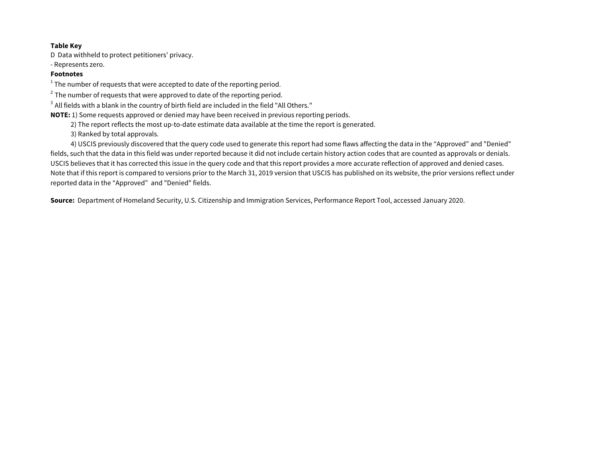### **Table Key**

D Data withheld to protect petitioners' privacy.

- Represents zero.

# **Footnotes**

 $^{\rm 1}$  The number of requests that were accepted to date of the reporting period.

 $2$  The number of requests that were approved to date of the reporting period.

<sup>3</sup> All fields with a blank in the country of birth field are included in the field "All Others."

**NOTE:** 1) Some requests approved or denied may have been received in previous reporting periods.

2) The report reflects the most up-to-date estimate data available at the time the report is generated.

3) Ranked by total approvals.

 4) USCIS previously discovered that the query code used to generate this report had some flaws affecting the data in the "Approved" and "Denied" fields, such that the data in this field was under reported because it did not include certain history action codes that are counted as approvals or denials. USCIS believes that it has corrected this issue in the query code and that this report provides a more accurate reflection of approved and denied cases. Note that if this report is compared to versions prior to the March 31, 2019 version that USCIS has published on its website, the prior versions reflect under reported data in the "Approved" and "Denied" fields.

**Source:** Department of Homeland Security, U.S. Citizenship and Immigration Services, Performance Report Tool, accessed January 2020.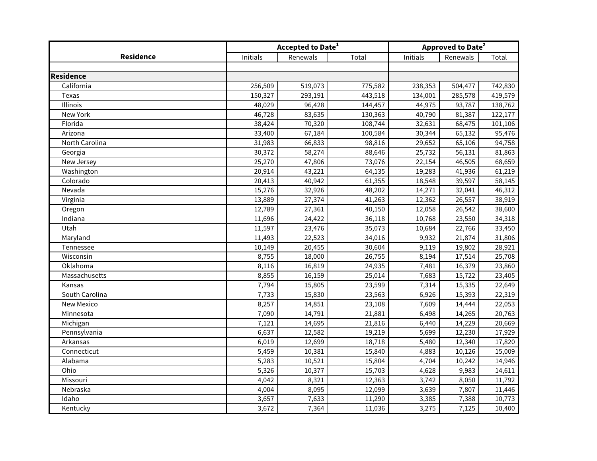|                   | Accepted to Date <sup>1</sup> |          |         | Approved to Date <sup>2</sup> |          |         |  |
|-------------------|-------------------------------|----------|---------|-------------------------------|----------|---------|--|
| <b>Residence</b>  | Initials                      | Renewals | Total   | Initials                      | Renewals | Total   |  |
|                   |                               |          |         |                               |          |         |  |
| <b>Residence</b>  |                               |          |         |                               |          |         |  |
| California        | 256,509                       | 519,073  | 775,582 | 238,353                       | 504,477  | 742,830 |  |
| Texas             | 150,327                       | 293,191  | 443,518 | 134,001                       | 285,578  | 419,579 |  |
| Illinois          | 48,029                        | 96,428   | 144,457 | 44,975                        | 93,787   | 138,762 |  |
| New York          | 46,728                        | 83,635   | 130,363 | 40,790                        | 81,387   | 122,177 |  |
| Florida           | 38,424                        | 70,320   | 108,744 | 32,631                        | 68,475   | 101,106 |  |
| Arizona           | 33,400                        | 67,184   | 100,584 | 30,344                        | 65,132   | 95,476  |  |
| North Carolina    | 31,983                        | 66,833   | 98,816  | 29,652                        | 65,106   | 94,758  |  |
| Georgia           | 30,372                        | 58,274   | 88,646  | 25,732                        | 56,131   | 81,863  |  |
| New Jersey        | 25,270                        | 47,806   | 73,076  | 22,154                        | 46,505   | 68,659  |  |
| Washington        | 20,914                        | 43,221   | 64,135  | 19,283                        | 41,936   | 61,219  |  |
| Colorado          | 20,413                        | 40,942   | 61,355  | 18,548                        | 39,597   | 58,145  |  |
| Nevada            | 15,276                        | 32,926   | 48,202  | 14,271                        | 32,041   | 46,312  |  |
| Virginia          | 13,889                        | 27,374   | 41,263  | 12,362                        | 26,557   | 38,919  |  |
| Oregon            | 12,789                        | 27,361   | 40,150  | 12,058                        | 26,542   | 38,600  |  |
| Indiana           | 11,696                        | 24,422   | 36,118  | 10,768                        | 23,550   | 34,318  |  |
| Utah              | 11,597                        | 23,476   | 35,073  | 10,684                        | 22,766   | 33,450  |  |
| Maryland          | 11,493                        | 22,523   | 34,016  | 9,932                         | 21,874   | 31,806  |  |
| Tennessee         | 10,149                        | 20,455   | 30,604  | 9,119                         | 19,802   | 28,921  |  |
| Wisconsin         | 8,755                         | 18,000   | 26,755  | 8,194                         | 17,514   | 25,708  |  |
| Oklahoma          | 8,116                         | 16,819   | 24,935  | 7,481                         | 16,379   | 23,860  |  |
| Massachusetts     | 8,855                         | 16,159   | 25,014  | 7,683                         | 15,722   | 23,405  |  |
| Kansas            | 7,794                         | 15,805   | 23,599  | 7,314                         | 15,335   | 22,649  |  |
| South Carolina    | $\overline{7,}733$            | 15,830   | 23,563  | 6,926                         | 15,393   | 22,319  |  |
| <b>New Mexico</b> | 8,257                         | 14,851   | 23,108  | 7,609                         | 14,444   | 22,053  |  |
| Minnesota         | 7,090                         | 14,791   | 21,881  | 6,498                         | 14,265   | 20,763  |  |
| Michigan          | 7,121                         | 14,695   | 21,816  | 6,440                         | 14,229   | 20,669  |  |
| Pennsylvania      | 6,637                         | 12,582   | 19,219  | 5,699                         | 12,230   | 17,929  |  |
| Arkansas          | 6,019                         | 12,699   | 18,718  | 5,480                         | 12,340   | 17,820  |  |
| Connecticut       | 5,459                         | 10,381   | 15,840  | 4,883                         | 10,126   | 15,009  |  |
| Alabama           | 5,283                         | 10,521   | 15,804  | 4,704                         | 10,242   | 14,946  |  |
| Ohio              | 5,326                         | 10,377   | 15,703  | 4,628                         | 9,983    | 14,611  |  |
| Missouri          | 4,042                         | 8,321    | 12,363  | 3,742                         | 8,050    | 11,792  |  |
| Nebraska          | 4,004                         | 8,095    | 12,099  | 3,639                         | 7,807    | 11,446  |  |
| Idaho             | 3,657                         | 7,633    | 11,290  | 3,385                         | 7,388    | 10,773  |  |
| Kentucky          | 3,672                         | 7,364    | 11,036  | 3,275                         | 7,125    | 10,400  |  |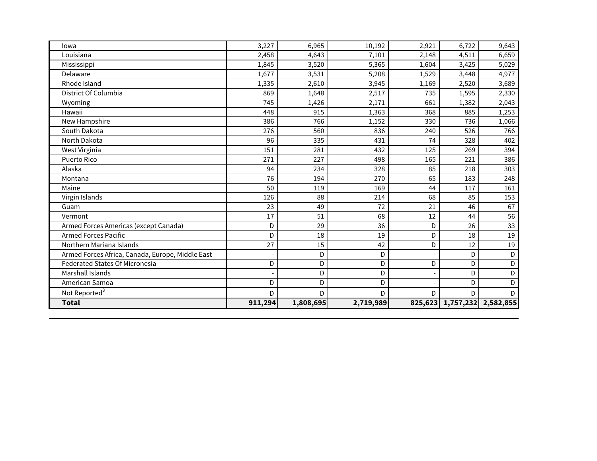| lowa                                             | 3,227   | 6,965     | 10,192    | 2,921   | 6,722 | 9,643               |
|--------------------------------------------------|---------|-----------|-----------|---------|-------|---------------------|
| Louisiana                                        | 2,458   | 4,643     | 7,101     | 2,148   | 4,511 | 6,659               |
| Mississippi                                      | 1,845   | 3,520     | 5,365     | 1,604   | 3,425 | 5,029               |
| Delaware                                         | 1,677   | 3,531     | 5,208     | 1,529   | 3,448 | 4,977               |
| Rhode Island                                     | 1,335   | 2,610     | 3,945     | 1,169   | 2,520 | 3,689               |
| District Of Columbia                             | 869     | 1,648     | 2,517     | 735     | 1,595 | 2,330               |
| Wyoming                                          | 745     | 1,426     | 2,171     | 661     | 1,382 | 2,043               |
| Hawaii                                           | 448     | 915       | 1,363     | 368     | 885   | 1,253               |
| New Hampshire                                    | 386     | 766       | 1,152     | 330     | 736   | 1,066               |
| South Dakota                                     | 276     | 560       | 836       | 240     | 526   | 766                 |
| North Dakota                                     | 96      | 335       | 431       | 74      | 328   | 402                 |
| West Virginia                                    | 151     | 281       | 432       | 125     | 269   | 394                 |
| Puerto Rico                                      | 271     | 227       | 498       | 165     | 221   | 386                 |
| Alaska                                           | 94      | 234       | 328       | 85      | 218   | 303                 |
| Montana                                          | 76      | 194       | 270       | 65      | 183   | 248                 |
| Maine                                            | 50      | 119       | 169       | 44      | 117   | 161                 |
| Virgin Islands                                   | 126     | 88        | 214       | 68      | 85    | 153                 |
| Guam                                             | 23      | 49        | 72        | 21      | 46    | 67                  |
| Vermont                                          | 17      | 51        | 68        | 12      | 44    | 56                  |
| Armed Forces Americas (except Canada)            | D       | 29        | 36        | D       | 26    | 33                  |
| <b>Armed Forces Pacific</b>                      | D       | 18        | 19        | D       | 18    | 19                  |
| Northern Mariana Islands                         | 27      | 15        | 42        | D       | 12    | 19                  |
| Armed Forces Africa, Canada, Europe, Middle East |         | D         | D         |         | D     | D                   |
| <b>Federated States Of Micronesia</b>            | D       | D         | D         | D       | D     | D                   |
| Marshall Islands                                 |         | D         | D         |         | D     | D                   |
| American Samoa                                   | D       | D         | D         |         | D     | D                   |
| Not Reported <sup>3</sup>                        | D       | D         | D         | D       | D     | D                   |
| <b>Total</b>                                     | 911,294 | 1,808,695 | 2,719,989 | 825,623 |       | 1,757,232 2,582,855 |